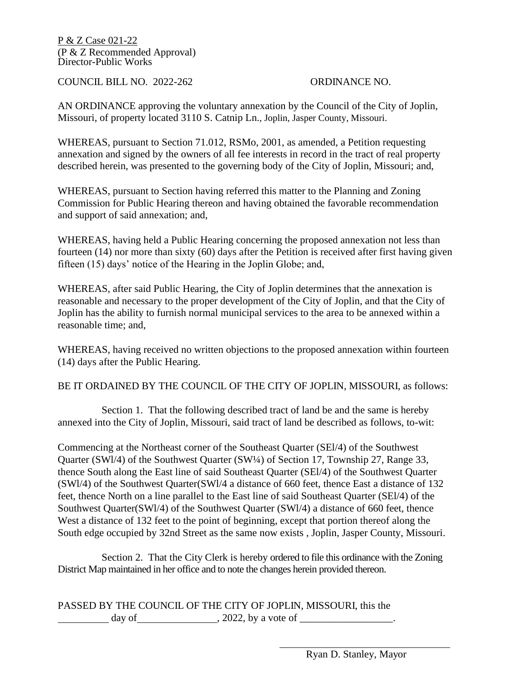P & Z Case 021-22 (P & Z Recommended Approval) Director-Public Works

COUNCIL BILL NO. 2022-262 ORDINANCE NO.

AN ORDINANCE approving the voluntary annexation by the Council of the City of Joplin, Missouri, of property located 3110 S. Catnip Ln., Joplin, Jasper County, Missouri.

WHEREAS, pursuant to Section 71.012, RSMo, 2001, as amended, a Petition requesting annexation and signed by the owners of all fee interests in record in the tract of real property described herein, was presented to the governing body of the City of Joplin, Missouri; and,

WHEREAS, pursuant to Section having referred this matter to the Planning and Zoning Commission for Public Hearing thereon and having obtained the favorable recommendation and support of said annexation; and,

WHEREAS, having held a Public Hearing concerning the proposed annexation not less than fourteen (14) nor more than sixty (60) days after the Petition is received after first having given fifteen (15) days' notice of the Hearing in the Joplin Globe; and,

WHEREAS, after said Public Hearing, the City of Joplin determines that the annexation is reasonable and necessary to the proper development of the City of Joplin, and that the City of Joplin has the ability to furnish normal municipal services to the area to be annexed within a reasonable time; and,

WHEREAS, having received no written objections to the proposed annexation within fourteen (14) days after the Public Hearing.

BE IT ORDAINED BY THE COUNCIL OF THE CITY OF JOPLIN, MISSOURI, as follows:

 Section 1. That the following described tract of land be and the same is hereby annexed into the City of Joplin, Missouri, said tract of land be described as follows, to-wit:

Commencing at the Northeast corner of the Southeast Quarter (SEl/4) of the Southwest Quarter (SWl/4) of the Southwest Quarter (SW¼) of Section 17, Township 27, Range 33, thence South along the East line of said Southeast Quarter (SEl/4) of the Southwest Quarter (SWl/4) of the Southwest Quarter(SWl/4 a distance of 660 feet, thence East a distance of 132 feet, thence North on a line parallel to the East line of said Southeast Quarter (SEl/4) of the Southwest Quarter(SWl/4) of the Southwest Quarter (SWl/4) a distance of 660 feet, thence West a distance of 132 feet to the point of beginning, except that portion thereof along the South edge occupied by 32nd Street as the same now exists , Joplin, Jasper County, Missouri.

 Section 2. That the City Clerk is hereby ordered to file this ordinance with the Zoning District Map maintained in her office and to note the changes herein provided thereon.

PASSED BY THE COUNCIL OF THE CITY OF JOPLIN, MISSOURI, this the day of  $\qquad \qquad .2022$ , by a vote of  $\qquad \qquad .2022$